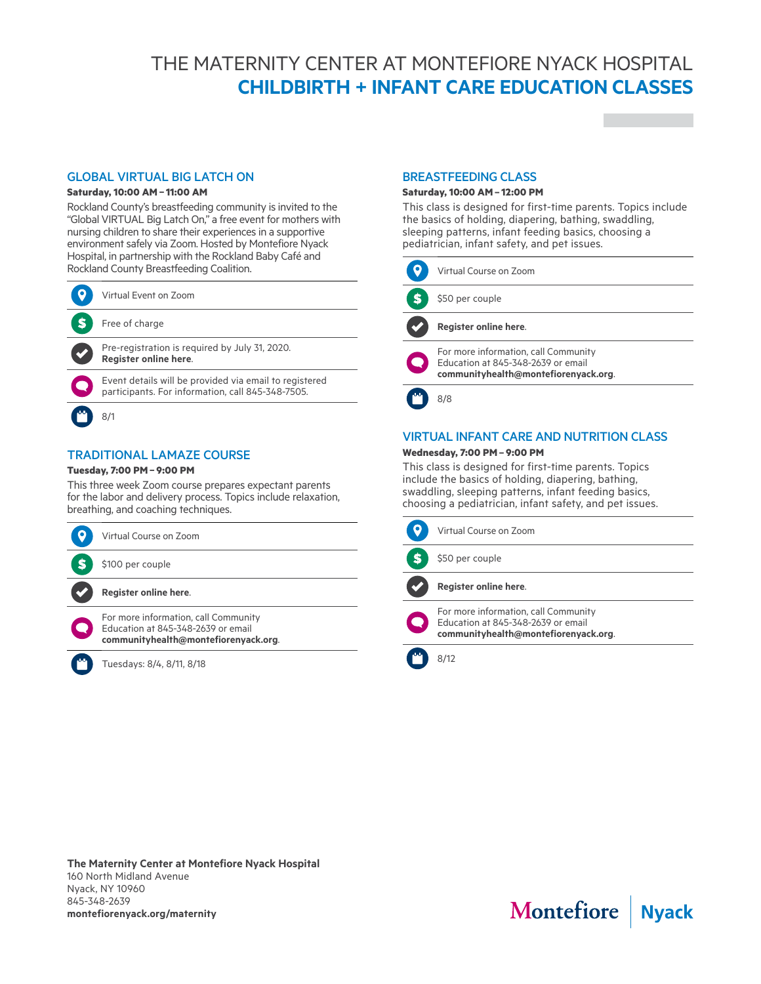# THE MATERNITY CENTER AT MONTEFIORE NYACK HOSPITAL **CHILDBIRTH + INFANT CARE EDUCATION CLASSES**

# GLOBAL VIRTUAL BIG LATCH ON

## **Saturday, 10:00 AM– 11:00 AM**

Rockland County's breastfeeding community is invited to the "Global VIRTUAL Big Latch On," a free event for mothers with nursing children to share their experiences in a supportive environment safely via Zoom. Hosted by Montefiore Nyack Hospital, in partnership with the Rockland Baby Café and Rockland County Breastfeeding Coalition.

| Virtual Event on Zoom                                                                                       |
|-------------------------------------------------------------------------------------------------------------|
| Free of charge                                                                                              |
| Pre-registration is reguired by July 31, 2020.<br>Register online here.                                     |
| Event details will be provided via email to registered<br>participants. For information, call 845-348-7505. |
|                                                                                                             |

# TRADITIONAL LAMAZE COURSE

# **Tuesday, 7:00 PM– 9:00 PM**

This three week Zoom course prepares expectant parents for the labor and delivery process. Topics include relaxation, breathing, and coaching techniques.

| Virtual Course on Zoom                                                                                             |
|--------------------------------------------------------------------------------------------------------------------|
| \$100 per couple                                                                                                   |
| Register online here.                                                                                              |
| For more information, call Community<br>Education at 845-348-2639 or email<br>communityhealth@montefiorenyack.org. |
| Tuesdays: 8/4, 8/11, 8/18                                                                                          |

#### BREASTFEEDING CLASS

#### **Saturday, 10:00 AM– 12:00 PM**

This class is designed for first-time parents. Topics include the basics of holding, diapering, bathing, swaddling, sleeping patterns, infant feeding basics, choosing a pediatrician, infant safety, and pet issues.

| Virtual Course on Zoom                                                                                             |
|--------------------------------------------------------------------------------------------------------------------|
| \$50 per couple                                                                                                    |
| Register online here.                                                                                              |
| For more information, call Community<br>Education at 845-348-2639 or email<br>communityhealth@montefiorenyack.org. |
|                                                                                                                    |

8/8

## VIRTUAL INFANT CARE AND NUTRITION CLASS **Wednesday, 7:00 PM– 9:00 PM**

This class is designed for first-time parents. Topics include the basics of holding, diapering, bathing, swaddling, sleeping patterns, infant feeding basics, choosing a pediatrician, infant safety, and pet issues.



**The Maternity Center at Montefiore Nyack Hospital** 160 North Midland Avenue Nyack, NY 10960 845-348-2639 **montefiorenyack.org/maternity**

Montefiore | Nyack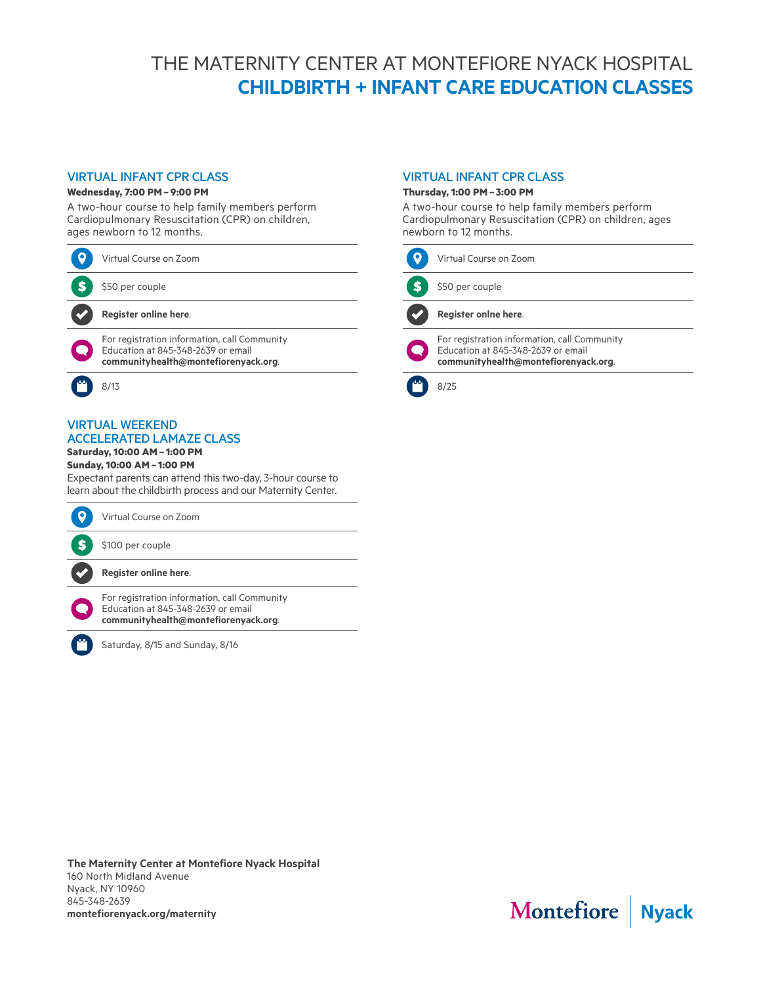# THE MATERNITY CENTER AT MONTEFIORE NYACK HOSPITAL **CHILDBIRTH + INFANT CARE EDUCATION CLASSES**

# VIRTUAL INFANT CPR CLASS

#### **Wednesday, 7:00 PM– 9:00 PM**

A two-hour course to help family members perform Cardiopulmonary Resuscitation (CPR) on children, ages newborn to 12 months.

| Virtual Course on Zoom                                                                                                     |
|----------------------------------------------------------------------------------------------------------------------------|
| \$50 per couple                                                                                                            |
| Register online here.                                                                                                      |
| For registration information, call Community<br>Education at 845-348-2639 or email<br>communityhealth@montefiorenyack.org. |
|                                                                                                                            |

#### VIRTUAL WEEKEND ACCELERATED LAMAZE CLASS

**Saturday, 10:00 AM– 1:00 PM**

# **Sunday, 10:00 AM– 1:00 PM**

Expectant parents can attend this two-day, 3-hour course to learn about the childbirth process and our Maternity Center.



Saturday, 8/15 and Sunday, 8/16

## VIRTUAL INFANT CPR CLASS

#### **Thursday, 1:00 PM– 3:00 PM**

A two-hour course to help family members perform Cardiopulmonary Resuscitation (CPR) on children, ages newborn to 12 months.

| Virtual Course on Zoom                                                                                                     |
|----------------------------------------------------------------------------------------------------------------------------|
| \$50 per couple                                                                                                            |
| Register onlne here.                                                                                                       |
| For registration information, call Community<br>Education at 845-348-2639 or email<br>communityhealth@montefiorenyack.org. |
|                                                                                                                            |

#### **The Maternity Center at Montefiore Nyack Hospital** 160 North Midland Avenue Nyack, NY 10960 845-348-2639 **montefiorenyack.org/maternity**

Montefiore | Nyack